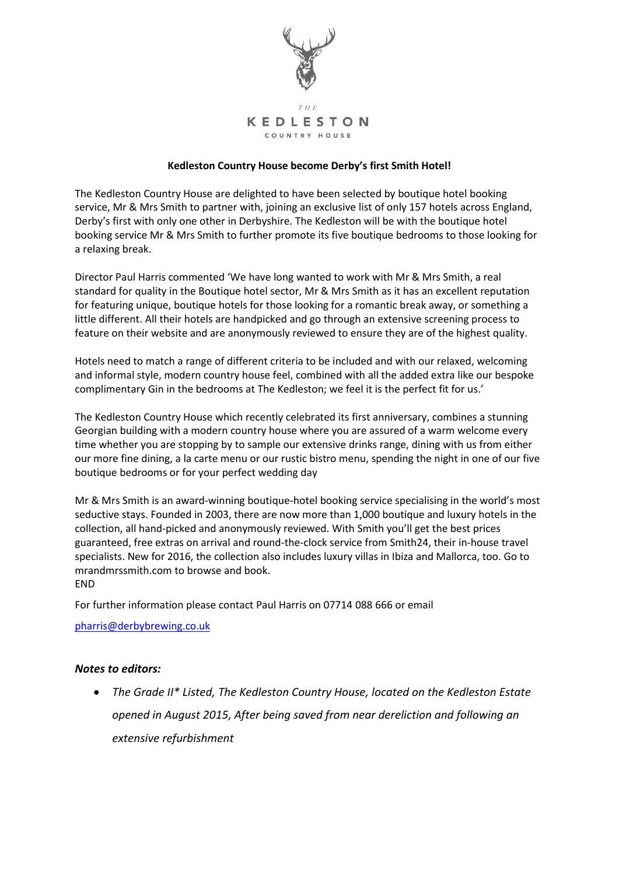

## **Kedleston Country House become Derby's first Smith Hotel!**

The Kedleston Country House are delighted to have been selected by boutique hotel booking service, Mr & Mrs Smith to partner with, joining an exclusive list of only 157 hotels across England, Derby's first with only one other in Derbyshire. The Kedleston will be with the boutique hotel booking service Mr & Mrs Smith to further promote its five boutique bedrooms to those looking for a relaxing break.

Director Paul Harris commented 'We have long wanted to work with Mr & Mrs Smith, a real standard for quality in the Boutique hotel sector, Mr & Mrs Smith as it has an excellent reputation for featuring unique, boutique hotels for those looking for a romantic break away, or something a little different. All their hotels are handpicked and go through an extensive screening process to feature on their website and are anonymously reviewed to ensure they are of the highest quality.

Hotels need to match a range of different criteria to be included and with our relaxed, welcoming and informal style, modern country house feel, combined with all the added extra like our bespoke complimentary Gin in the bedrooms at The Kedleston; we feel it is the perfect fit for us.'

The Kedleston Country House which recently celebrated its first anniversary, combines a stunning Georgian building with a modern country house where you are assured of a warm welcome every time whether you are stopping by to sample our extensive drinks range, dining with us from either our more fine dining, a la carte menu or our rustic bistro menu, spending the night in one of our five boutique bedrooms or for your perfect wedding day

Mr & Mrs Smith is an award-winning boutique-hotel booking service specialising in the world's most seductive stays. Founded in 2003, there are now more than 1,000 boutique and luxury hotels in the collection, all hand-picked and anonymously reviewed. With Smith you'll get the best prices guaranteed, free extras on arrival and round-the-clock service from Smith24, their in-house travel specialists. New for 2016, the collection also includes luxury villas in Ibiza and Mallorca, too. Go to mrandmrssmith.com to browse and book. **FND** 

For further information please contact Paul Harris on 07714 088 666 or email

[pharris@derbybrewing.co.uk](mailto:pharris@derbybrewing.co.uk)

## *Notes to editors:*

 *The Grade II\* Listed, The Kedleston Country House, located on the Kedleston Estate opened in August 2015, After being saved from near dereliction and following an extensive refurbishment*